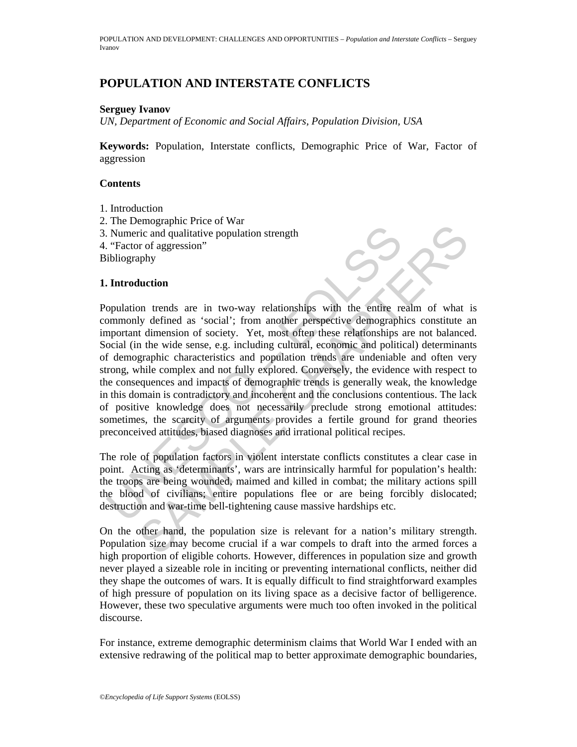# **POPULATION AND INTERSTATE CONFLICTS**

#### **Serguey Ivanov**

*UN, Department of Economic and Social Affairs, Population Division, USA* 

**Keywords:** Population, Interstate conflicts, Demographic Price of War, Factor of aggression

#### **Contents**

- 1. Introduction
- 2. The Demographic Price of War
- 3. Numeric and qualitative population strength
- 4. "Factor of aggression"

Bibliography

### **1. Introduction**

Numeric and qualitative population strength<br>
"Factor of aggression"<br>
"Factor of aggression"<br>
ibliography<br>
Introduction<br>
population trends are in two-way relationships with the entire<br>
removemental dimension of society. Yet Example the correct of the content of the military strength<br>
ities and qualitative population strength<br>
phy<br>
unction<br>
on trends as "social"; from another perspective demographics constitute at<br>
dimension of society. Yet, m Population trends are in two-way relationships with the entire realm of what is commonly defined as 'social'; from another perspective demographics constitute an important dimension of society. Yet, most often these relationships are not balanced. Social (in the wide sense, e.g. including cultural, economic and political) determinants of demographic characteristics and population trends are undeniable and often very strong, while complex and not fully explored. Conversely, the evidence with respect to the consequences and impacts of demographic trends is generally weak, the knowledge in this domain is contradictory and incoherent and the conclusions contentious. The lack of positive knowledge does not necessarily preclude strong emotional attitudes: sometimes, the scarcity of arguments provides a fertile ground for grand theories preconceived attitudes, biased diagnoses and irrational political recipes.

The role of population factors in violent interstate conflicts constitutes a clear case in point. Acting as 'determinants', wars are intrinsically harmful for population's health: the troops are being wounded, maimed and killed in combat; the military actions spill the blood of civilians; entire populations flee or are being forcibly dislocated; destruction and war-time bell-tightening cause massive hardships etc.

On the other hand, the population size is relevant for a nation's military strength. Population size may become crucial if a war compels to draft into the armed forces a high proportion of eligible cohorts. However, differences in population size and growth never played a sizeable role in inciting or preventing international conflicts, neither did they shape the outcomes of wars. It is equally difficult to find straightforward examples of high pressure of population on its living space as a decisive factor of belligerence. However, these two speculative arguments were much too often invoked in the political discourse.

For instance, extreme demographic determinism claims that World War I ended with an extensive redrawing of the political map to better approximate demographic boundaries,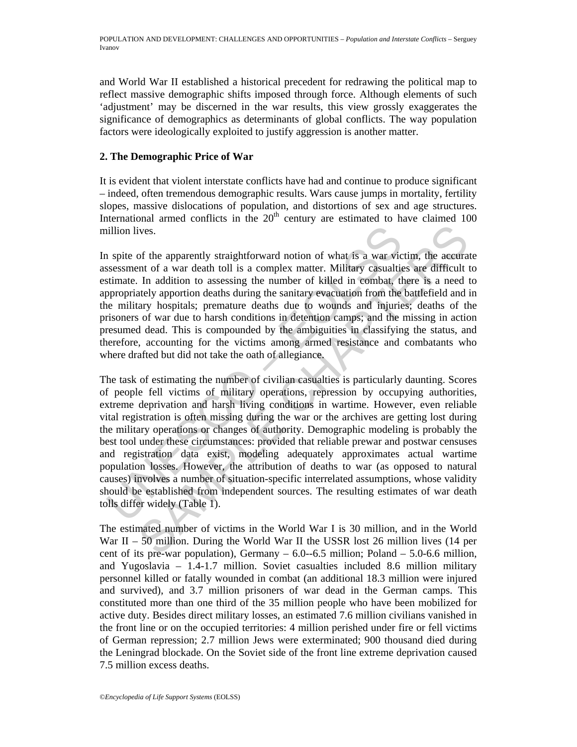and World War II established a historical precedent for redrawing the political map to reflect massive demographic shifts imposed through force. Although elements of such 'adjustment' may be discerned in the war results, this view grossly exaggerates the significance of demographics as determinants of global conflicts. The way population factors were ideologically exploited to justify aggression is another matter.

### **2. The Demographic Price of War**

It is evident that violent interstate conflicts have had and continue to produce significant – indeed, often tremendous demographic results. Wars cause jumps in mortality, fertility slopes, massive dislocations of population, and distortions of sex and age structures. International armed conflicts in the  $20<sup>th</sup>$  century are estimated to have claimed 100 million lives.

In spite of the apparently straightforward notion of what is a war victim, the accurate assessment of a war death toll is a complex matter. Military casualties are difficult to estimate. In addition to assessing the number of killed in combat, there is a need to appropriately apportion deaths during the sanitary evacuation from the battlefield and in the military hospitals; premature deaths due to wounds and injuries; deaths of the prisoners of war due to harsh conditions in detention camps; and the missing in action presumed dead. This is compounded by the ambiguities in classifying the status, and therefore, accounting for the victims among armed resistance and combatants who where drafted but did not take the oath of allegiance.

illion lives.<br>
11 spite of the apparently straightforward notion of what is a war vicessessment of a war death toll is a complex matter. Military casualtitimate. In addition to assessing the number of killed in combat, the ives.<br>
ives.<br>
or the apparently straightforward notion of what is a war victim, the accurant of a war death toll is a complex matter. Military casualties are difficult In addition to assessing the number of killed in comba The task of estimating the number of civilian casualties is particularly daunting. Scores of people fell victims of military operations, repression by occupying authorities, extreme deprivation and harsh living conditions in wartime. However, even reliable vital registration is often missing during the war or the archives are getting lost during the military operations or changes of authority. Demographic modeling is probably the best tool under these circumstances: provided that reliable prewar and postwar censuses and registration data exist, modeling adequately approximates actual wartime population losses. However, the attribution of deaths to war (as opposed to natural causes) involves a number of situation-specific interrelated assumptions, whose validity should be established from independent sources. The resulting estimates of war death tolls differ widely (Table 1).

The estimated number of victims in the World War I is 30 million, and in the World War II – 50 million. During the World War II the USSR lost 26 million lives (14 per cent of its pre-war population), Germany  $-6.0$ -6.5 million; Poland  $-5.0$ -6.6 million, and Yugoslavia – 1.4-1.7 million. Soviet casualties included 8.6 million military personnel killed or fatally wounded in combat (an additional 18.3 million were injured and survived), and 3.7 million prisoners of war dead in the German camps. This constituted more than one third of the 35 million people who have been mobilized for active duty. Besides direct military losses, an estimated 7.6 million civilians vanished in the front line or on the occupied territories: 4 million perished under fire or fell victims of German repression; 2.7 million Jews were exterminated; 900 thousand died during the Leningrad blockade. On the Soviet side of the front line extreme deprivation caused 7.5 million excess deaths.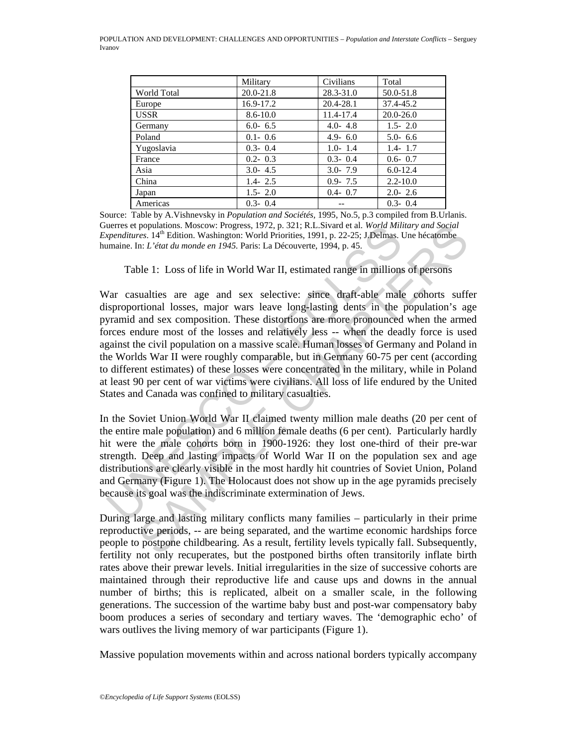|                    | Military      | Civilians     | Total         |
|--------------------|---------------|---------------|---------------|
| <b>World Total</b> | $20.0 - 21.8$ | $28.3 - 31.0$ | 50.0-51.8     |
| Europe             | 16.9-17.2     | 20.4-28.1     | 37.4-45.2     |
| <b>USSR</b>        | $8.6 - 10.0$  | 11.4-17.4     | $20.0 - 26.0$ |
| Germany            | $6.0 - 6.5$   | $4.0 - 4.8$   | $1.5 - 2.0$   |
| Poland             | $0.1 - 0.6$   | $4.9 - 6.0$   | $5.0 - 6.6$   |
| Yugoslavia         | $0.3 - 0.4$   | $1.0 - 1.4$   | $1.4 - 1.7$   |
| France             | $0.2 - 0.3$   | $0.3 - 0.4$   | $0.6 - 0.7$   |
| Asia               | $3.0 - 4.5$   | $3.0 - 7.9$   | $6.0 - 12.4$  |
| China              | $1.4 - 2.5$   | $0.9 - 7.5$   | $2.2 - 10.0$  |
| Japan              | $1.5 - 2.0$   | $0.4 - 0.7$   | $2.0 - 2.6$   |
| Americas           | $0.3 - 0.4$   |               | $0.3 - 0.4$   |

Source: Table by A.Vishnevsky in *Population and Sociétés,* 1995, No.5, p.3 compiled from B.Urlanis. Guerres et populations. Moscow: Progress, 1972, p. 321; R.L.Sivard et al*. World Military and Social Expenditures*. 14<sup>th</sup> Edition. Washington: World Priorities, 1991, p. 22-25; J.Delmas. Une hécatombe humaine. In: *L'état du monde en 1945.* Paris: La Découverte, 1994, p. 45.

Table 1: Loss of life in World War II, estimated range in millions of persons

ueres et populations. Moseow: Progress, 1972. p. 321; K.L.Suvard et al. *World Miniters*. 14<sup>th</sup> Edition. Washington: World Priorities, 1991, p. 22-25: J.Delimas. Unamine. In: *L'état du monde en 1945*. Paris: La Découvert populations. Moscow: Properss, 1972, p. 321; RL. Sivard et al. World Military and Social<br>res. 14<sup>th</sup> Edition. Washington: World Priorities, 1991, p. 22-25; J. Delmas. Une hécatombe<br>n: *L'état du monde en 1945*. Paris: La D War casualties are age and sex selective: since draft-able male cohorts suffer disproportional losses, major wars leave long-lasting dents in the population's age pyramid and sex composition. These distortions are more pronounced when the armed forces endure most of the losses and relatively less -- when the deadly force is used against the civil population on a massive scale. Human losses of Germany and Poland in the Worlds War II were roughly comparable, but in Germany 60-75 per cent (according to different estimates) of these losses were concentrated in the military, while in Poland at least 90 per cent of war victims were civilians. All loss of life endured by the United States and Canada was confined to military casualties.

In the Soviet Union World War II claimed twenty million male deaths (20 per cent of the entire male population) and 6 million female deaths (6 per cent). Particularly hardly hit were the male cohorts born in 1900-1926: they lost one-third of their pre-war strength. Deep and lasting impacts of World War II on the population sex and age distributions are clearly visible in the most hardly hit countries of Soviet Union, Poland and Germany (Figure 1). The Holocaust does not show up in the age pyramids precisely because its goal was the indiscriminate extermination of Jews.

During large and lasting military conflicts many families – particularly in their prime reproductive periods, -- are being separated, and the wartime economic hardships force people to postpone childbearing. As a result, fertility levels typically fall. Subsequently, fertility not only recuperates, but the postponed births often transitorily inflate birth rates above their prewar levels. Initial irregularities in the size of successive cohorts are maintained through their reproductive life and cause ups and downs in the annual number of births; this is replicated, albeit on a smaller scale, in the following generations. The succession of the wartime baby bust and post-war compensatory baby boom produces a series of secondary and tertiary waves. The 'demographic echo' of wars outlives the living memory of war participants (Figure 1).

Massive population movements within and across national borders typically accompany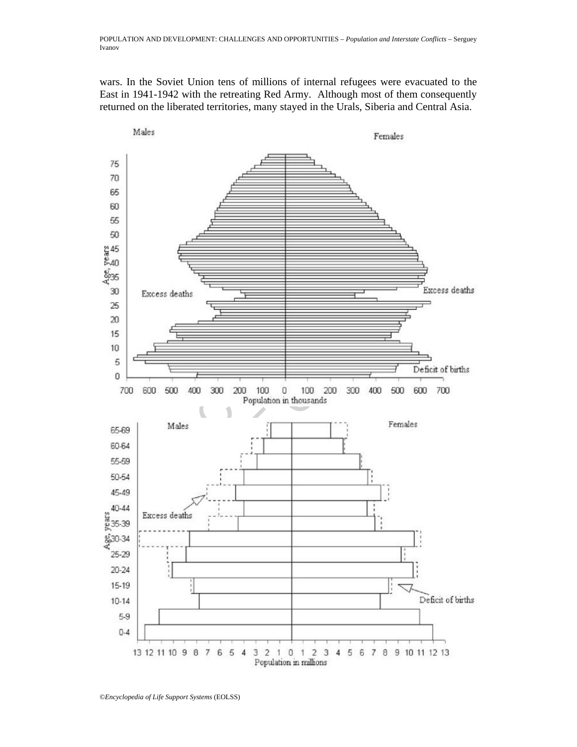wars. In the Soviet Union tens of millions of internal refugees were evacuated to the East in 1941-1942 with the retreating Red Army. Although most of them consequently returned on the liberated territories, many stayed in the Urals, Siberia and Central Asia.

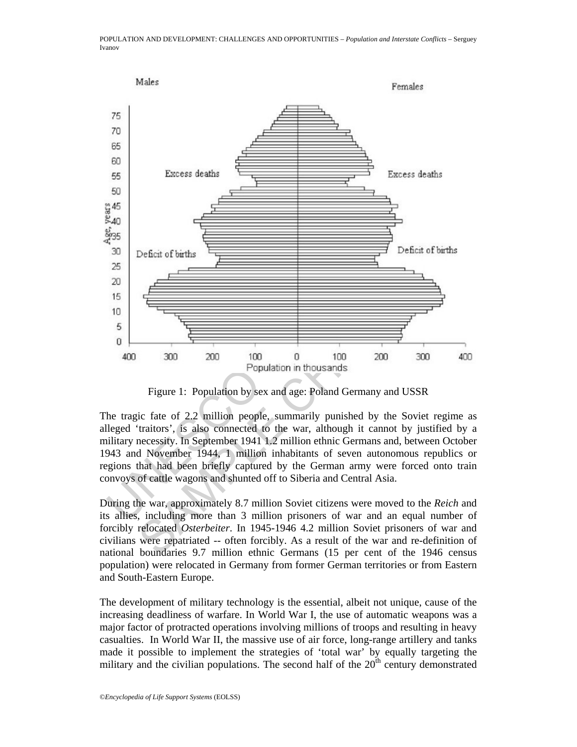

Figure 1: Population by sex and age: Poland Germany and USSR

The tragic fate of 2.2 million people, summarily punished by the Soviet regime as alleged 'traitors', is also connected to the war, although it cannot by justified by a military necessity. In September 1941 1.2 million ethnic Germans and, between October 1943 and November 1944, 1 million inhabitants of seven autonomous republics or regions that had been briefly captured by the German army were forced onto train convoys of cattle wagons and shunted off to Siberia and Central Asia.

During the war, approximately 8.7 million Soviet citizens were moved to the *Reich* and its allies, including more than 3 million prisoners of war and an equal number of forcibly relocated *Osterbeiter*. In 1945-1946 4.2 million Soviet prisoners of war and civilians were repatriated -- often forcibly. As a result of the war and re-definition of national boundaries 9.7 million ethnic Germans (15 per cent of the 1946 census population) were relocated in Germany from former German territories or from Eastern and South-Eastern Europe.

The development of military technology is the essential, albeit not unique, cause of the increasing deadliness of warfare. In World War I, the use of automatic weapons was a major factor of protracted operations involving millions of troops and resulting in heavy casualties. In World War II, the massive use of air force, long-range artillery and tanks made it possible to implement the strategies of 'total war' by equally targeting the military and the civilian populations. The second half of the  $20<sup>th</sup>$  century demonstrated